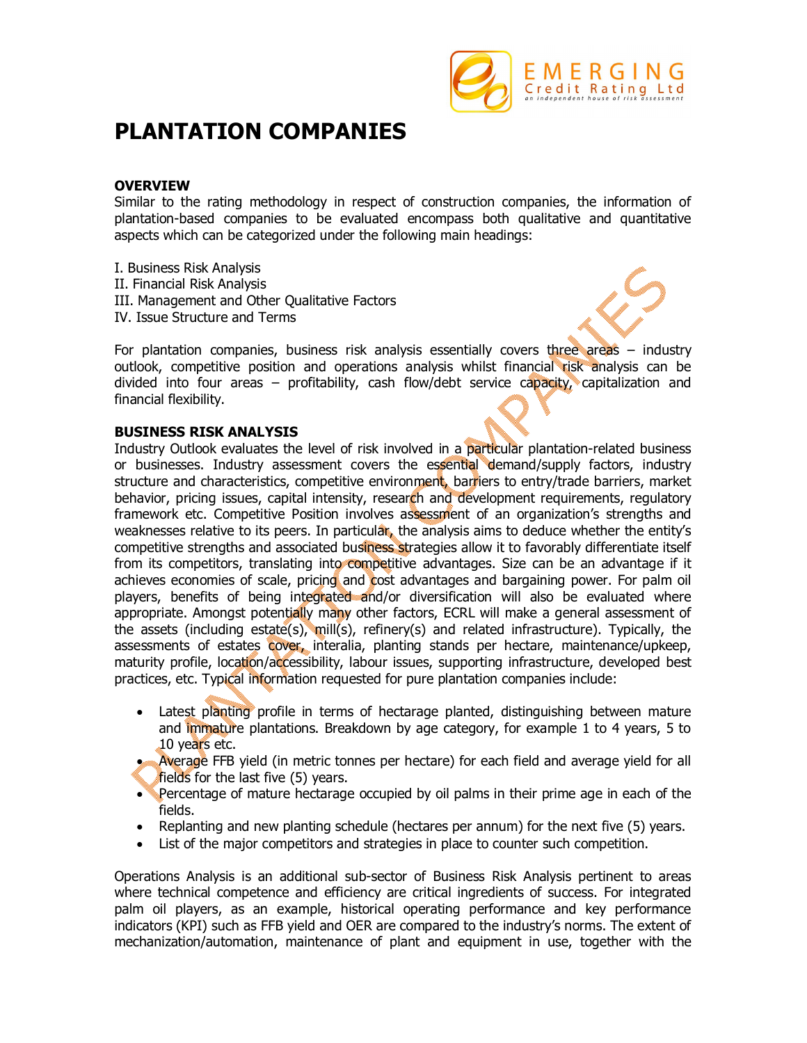

# **PLANTATION COMPANIES**

## **OVERVIEW**

Similar to the rating methodology in respect of construction companies, the information of plantation-based companies to be evaluated encompass both qualitative and quantitative aspects which can be categorized under the following main headings:

- I. Business Risk Analysis
- II. Financial Risk Analysis
- III. Management and Other Qualitative Factors
- IV. Issue Structure and Terms

For plantation companies, business risk analysis essentially covers three areas – industry outlook, competitive position and operations analysis whilst financial risk analysis can be divided into four areas – profitability, cash flow/debt service capacity, capitalization and financial flexibility.

### **BUSINESS RISK ANALYSIS**

Industry Outlook evaluates the level of risk involved in a particular plantation-related business or businesses. Industry assessment covers the essential demand/supply factors, industry structure and characteristics, competitive environment, barriers to entry/trade barriers, market behavior, pricing issues, capital intensity, research and development requirements, requlatory framework etc. Competitive Position involves assessment of an organization's strengths and weaknesses relative to its peers. In particular, the analysis aims to deduce whether the entity's competitive strengths and associated business strategies allow it to favorably differentiate itself from its competitors, translating into competitive advantages. Size can be an advantage if it achieves economies of scale, pricing and cost advantages and bargaining power. For palm oil players, benefits of being integrated and/or diversification will also be evaluated where appropriate. Amongst potentially many other factors, ECRL will make a general assessment of the assets (including estate(s), mill(s), refinery(s) and related infrastructure). Typically, the assessments of estates cover, interalia, planting stands per hectare, maintenance/upkeep, maturity profile, location/accessibility, labour issues, supporting infrastructure, developed best practices, etc. Typical information requested for pure plantation companies include:

- Latest planting profile in terms of hectarage planted, distinguishing between mature and immature plantations. Breakdown by age category, for example 1 to 4 years, 5 to 10 years etc.
- Average FFB yield (in metric tonnes per hectare) for each field and average yield for all fields for the last five (5) years.
- **Percentage of mature hectarage occupied by oil palms in their prime age in each of the** fields.
- Replanting and new planting schedule (hectares per annum) for the next five (5) years.
- List of the major competitors and strategies in place to counter such competition.

Operations Analysis is an additional sub-sector of Business Risk Analysis pertinent to areas where technical competence and efficiency are critical ingredients of success. For integrated palm oil players, as an example, historical operating performance and key performance indicators (KPI) such as FFB yield and OER are compared to the industry's norms. The extent of mechanization/automation, maintenance of plant and equipment in use, together with the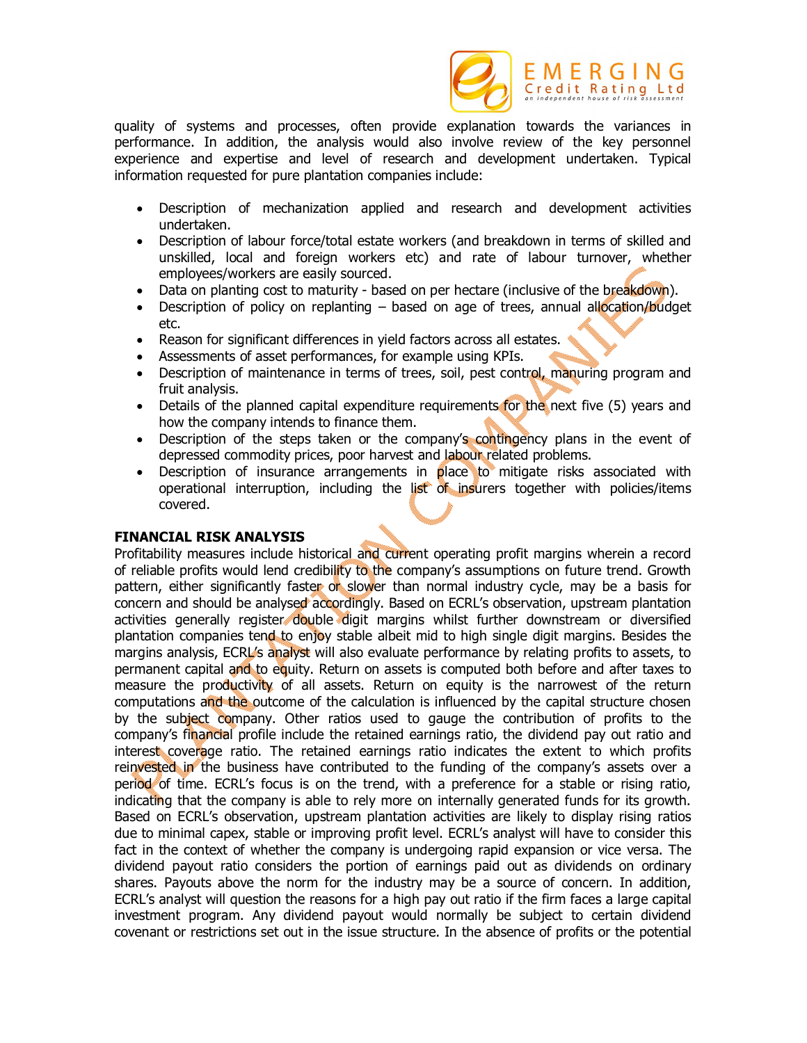

quality of systems and processes, often provide explanation towards the variances in performance. In addition, the analysis would also involve review of the key personnel experience and expertise and level of research and development undertaken. Typical information requested for pure plantation companies include:

- Description of mechanization applied and research and development activities undertaken.
- Description of labour force/total estate workers (and breakdown in terms of skilled and unskilled, local and foreign workers etc) and rate of labour turnover, whether employees/workers are easily sourced.
- Data on planting cost to maturity based on per hectare (inclusive of the breakdown).
- **•** Description of policy on replanting  $-$  based on age of trees, annual allocation/budget etc.
- Reason for significant differences in yield factors across all estates.
- Assessments of asset performances, for example using KPIs.
- Description of maintenance in terms of trees, soil, pest control, manuring program and fruit analysis.
- Details of the planned capital expenditure requirements for the next five (5) years and how the company intends to finance them.
- Description of the steps taken or the company's contingency plans in the event of depressed commodity prices, poor harvest and labour related problems.
- Description of insurance arrangements in place to mitigate risks associated with operational interruption, including the list of insurers together with policies/items covered.

### **FINANCIAL RISK ANALYSIS**

Profitability measures include historical and current operating profit margins wherein a record of reliable profits would lend credibility to the company's assumptions on future trend. Growth pattern, either significantly faster or slower than normal industry cycle, may be a basis for concern and should be analysed accordingly. Based on ECRL's observation, upstream plantation activities generally register double digit margins whilst further downstream or diversified plantation companies tend to enjoy stable albeit mid to high single digit margins. Besides the margins analysis, ECRL's analyst will also evaluate performance by relating profits to assets, to permanent capital and to equity. Return on assets is computed both before and after taxes to measure the productivity of all assets. Return on equity is the narrowest of the return computations and the outcome of the calculation is influenced by the capital structure chosen by the subject company. Other ratios used to gauge the contribution of profits to the company's financial profile include the retained earnings ratio, the dividend pay out ratio and interest coverage ratio. The retained earnings ratio indicates the extent to which profits reinvested in the business have contributed to the funding of the company's assets over a period of time. ECRL's focus is on the trend, with a preference for a stable or rising ratio, indicating that the company is able to rely more on internally generated funds for its growth. Based on ECRL's observation, upstream plantation activities are likely to display rising ratios due to minimal capex, stable or improving profit level. ECRL's analyst will have to consider this fact in the context of whether the company is undergoing rapid expansion or vice versa. The dividend payout ratio considers the portion of earnings paid out as dividends on ordinary shares. Payouts above the norm for the industry may be a source of concern. In addition, ECRL's analyst will question the reasons for a high pay out ratio if the firm faces a large capital investment program. Any dividend payout would normally be subject to certain dividend covenant or restrictions set out in the issue structure. In the absence of profits or the potential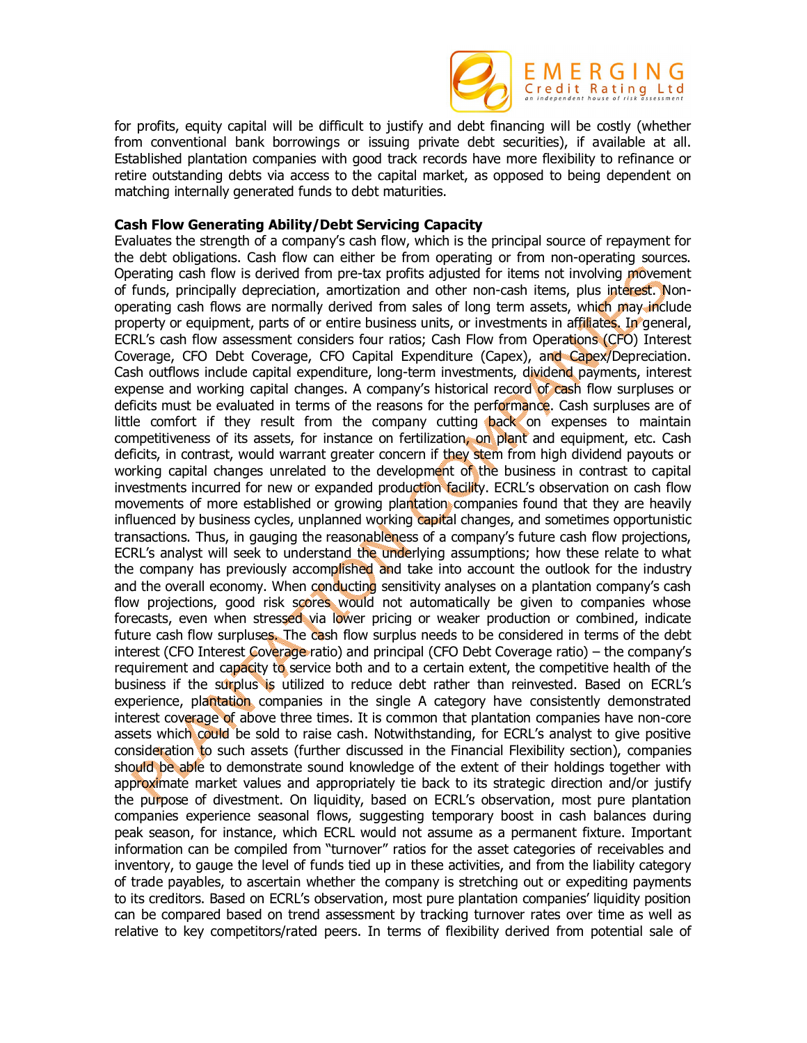

for profits, equity capital will be difficult to justify and debt financing will be costly (whether from conventional bank borrowings or issuing private debt securities), if available at all. Established plantation companies with good track records have more flexibility to refinance or retire outstanding debts via access to the capital market, as opposed to being dependent on matching internally generated funds to debt maturities.

### **Cash Flow Generating Ability/Debt Servicing Capacity**

Evaluates the strength of a company's cash flow, which is the principal source of repayment for the debt obligations. Cash flow can either be from operating or from non-operating sources. Operating cash flow is derived from pre-tax profits adjusted for items not involving movement of funds, principally depreciation, amortization and other non-cash items, plus interest. Nonoperating cash flows are normally derived from sales of long term assets, which may include property or equipment, parts of or entire business units, or investments in affiliates. In general, ECRL's cash flow assessment considers four ratios; Cash Flow from Operations (CFO) Interest Coverage, CFO Debt Coverage, CFO Capital Expenditure (Capex), and Capex/Depreciation. Cash outflows include capital expenditure, long-term investments, dividend payments, interest expense and working capital changes. A company's historical record of cash flow surpluses or deficits must be evaluated in terms of the reasons for the performance. Cash surpluses are of little comfort if they result from the company cutting back on expenses to maintain competitiveness of its assets, for instance on fertilization, on plant and equipment, etc. Cash deficits, in contrast, would warrant greater concern if they stem from high dividend payouts or working capital changes unrelated to the development of the business in contrast to capital investments incurred for new or expanded production facility. ECRL's observation on cash flow movements of more established or growing plantation companies found that they are heavily influenced by business cycles, unplanned working capital changes, and sometimes opportunistic transactions. Thus, in gauging the reasonableness of a company's future cash flow projections, ECRL's analyst will seek to understand the underlying assumptions; how these relate to what the company has previously accomplished and take into account the outlook for the industry and the overall economy. When conducting sensitivity analyses on a plantation company's cash flow projections, good risk scores would not automatically be given to companies whose forecasts, even when stressed via lower pricing or weaker production or combined, indicate future cash flow surpluses. The cash flow surplus needs to be considered in terms of the debt interest (CFO Interest Coverage ratio) and principal (CFO Debt Coverage ratio) – the company's requirement and capacity to service both and to a certain extent, the competitive health of the business if the surplus is utilized to reduce debt rather than reinvested. Based on ECRL's experience, plantation companies in the single A category have consistently demonstrated interest coverage of above three times. It is common that plantation companies have non-core assets which could be sold to raise cash. Notwithstanding, for ECRL's analyst to give positive consideration to such assets (further discussed in the Financial Flexibility section), companies should be able to demonstrate sound knowledge of the extent of their holdings together with approximate market values and appropriately tie back to its strategic direction and/or justify the purpose of divestment. On liquidity, based on ECRL's observation, most pure plantation companies experience seasonal flows, suggesting temporary boost in cash balances during peak season, for instance, which ECRL would not assume as a permanent fixture. Important information can be compiled from "turnover" ratios for the asset categories of receivables and inventory, to gauge the level of funds tied up in these activities, and from the liability category of trade payables, to ascertain whether the company is stretching out or expediting payments to its creditors. Based on ECRL's observation, most pure plantation companies' liquidity position can be compared based on trend assessment by tracking turnover rates over time as well as relative to key competitors/rated peers. In terms of flexibility derived from potential sale of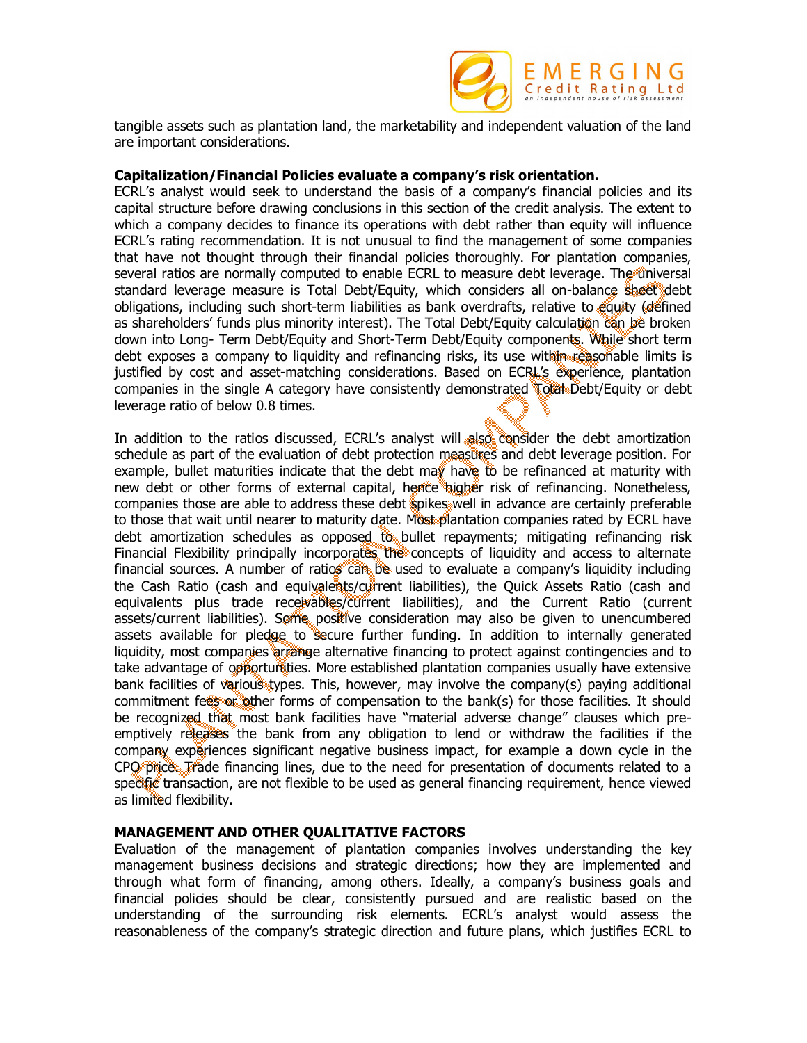

tangible assets such as plantation land, the marketability and independent valuation of the land are important considerations.

#### **Capitalization/Financial Policies evaluate a company's risk orientation.**

ECRL's analyst would seek to understand the basis of a company's financial policies and its capital structure before drawing conclusions in this section of the credit analysis. The extent to which a company decides to finance its operations with debt rather than equity will influence ECRL's rating recommendation. It is not unusual to find the management of some companies that have not thought through their financial policies thoroughly. For plantation companies, several ratios are normally computed to enable ECRL to measure debt leverage. The universal standard leverage measure is Total Debt/Equity, which considers all on-balance sheet debt obligations, including such short-term liabilities as bank overdrafts, relative to equity (defined as shareholders' funds plus minority interest). The Total Debt/Equity calculation can be broken down into Long- Term Debt/Equity and Short-Term Debt/Equity components. While short term debt exposes a company to liquidity and refinancing risks, its use within reasonable limits is justified by cost and asset-matching considerations. Based on ECRL's experience, plantation companies in the single A category have consistently demonstrated Total Debt/Equity or debt leverage ratio of below 0.8 times.

In addition to the ratios discussed, ECRL's analyst will also consider the debt amortization schedule as part of the evaluation of debt protection measures and debt leverage position. For example, bullet maturities indicate that the debt may have to be refinanced at maturity with new debt or other forms of external capital, hence higher risk of refinancing. Nonetheless, companies those are able to address these debt spikes well in advance are certainly preferable to those that wait until nearer to maturity date. Most plantation companies rated by ECRL have debt amortization schedules as opposed to bullet repayments; mitigating refinancing risk Financial Flexibility principally incorporates the concepts of liquidity and access to alternate financial sources. A number of ratios can be used to evaluate a company's liquidity including the Cash Ratio (cash and equivalents/current liabilities), the Quick Assets Ratio (cash and equivalents plus trade receivables/current liabilities), and the Current Ratio (current assets/current liabilities). Some positive consideration may also be given to unencumbered assets available for pledge to secure further funding. In addition to internally generated liquidity, most companies arrange alternative financing to protect against contingencies and to take advantage of opportunities. More established plantation companies usually have extensive bank facilities of various types. This, however, may involve the company(s) paying additional commitment fees or other forms of compensation to the bank(s) for those facilities. It should be recognized that most bank facilities have "material adverse change" clauses which preemptively releases the bank from any obligation to lend or withdraw the facilities if the company experiences significant negative business impact, for example a down cycle in the CPO price. Trade financing lines, due to the need for presentation of documents related to a specific transaction, are not flexible to be used as general financing requirement, hence viewed as limited flexibility.

### **MANAGEMENT AND OTHER QUALITATIVE FACTORS**

Evaluation of the management of plantation companies involves understanding the key management business decisions and strategic directions; how they are implemented and through what form of financing, among others. Ideally, a company's business goals and financial policies should be clear, consistently pursued and are realistic based on the understanding of the surrounding risk elements. ECRL's analyst would assess the reasonableness of the company's strategic direction and future plans, which justifies ECRL to